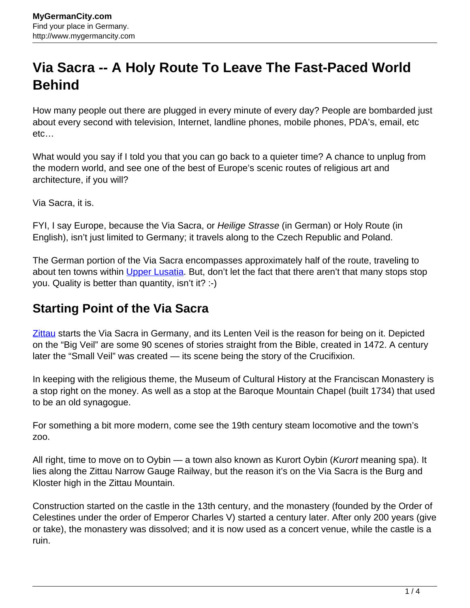## **Via Sacra -- A Holy Route To Leave The Fast-Paced World Behind**

How many people out there are plugged in every minute of every day? People are bombarded just about every second with television, Internet, landline phones, mobile phones, PDA's, email, etc etc…

What would you say if I told you that you can go back to a quieter time? A chance to unplug from the modern world, and see one of the best of Europe's scenic routes of religious art and architecture, if you will?

Via Sacra, it is.

FYI, I say Europe, because the Via Sacra, or *Heilige Strasse* (in German) or Holy Route (in English), isn't just limited to Germany; it travels along to the Czech Republic and Poland.

The German portion of the Via Sacra encompasses approximately half of the route, traveling to about ten towns within [Upper Lusatia](http://www.mygermancity.com/upper-lusatia). But, don't let the fact that there aren't that many stops stop you. Quality is better than quantity, isn't it? :-)

## **Starting Point of the Via Sacra**

**Zittau** starts the Via Sacra in Germany, and its Lenten Veil is the reason for being on it. Depicted on the "Big Veil" are some 90 scenes of stories straight from the Bible, created in 1472. A century later the "Small Veil" was created — its scene being the story of the Crucifixion.

In keeping with the religious theme, the Museum of Cultural History at the Franciscan Monastery is a stop right on the money. As well as a stop at the Baroque Mountain Chapel (built 1734) that used to be an old synagogue.

For something a bit more modern, come see the 19th century steam locomotive and the town's zoo.

All right, time to move on to Oybin — a town also known as Kurort Oybin (Kurort meaning spa). It lies along the Zittau Narrow Gauge Railway, but the reason it's on the Via Sacra is the Burg and Kloster high in the Zittau Mountain.

Construction started on the castle in the 13th century, and the monastery (founded by the Order of Celestines under the order of Emperor Charles V) started a century later. After only 200 years (give or take), the monastery was dissolved; and it is now used as a concert venue, while the castle is a ruin.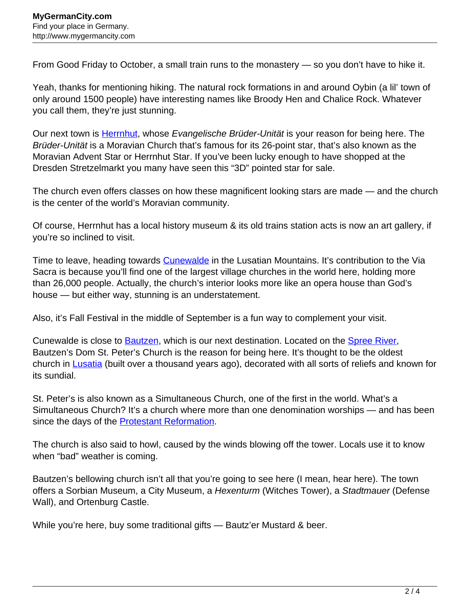From Good Friday to October, a small train runs to the monastery — so you don't have to hike it.

Yeah, thanks for mentioning hiking. The natural rock formations in and around Oybin (a lil' town of only around 1500 people) have interesting names like Broody Hen and Chalice Rock. Whatever you call them, they're just stunning.

Our next town is **[Herrnhut](http://www.mygermancity.com/herrnhut)**, whose Evangelische Brüder-Unität is your reason for being here. The Brüder-Unität is a Moravian Church that's famous for its 26-point star, that's also known as the Moravian Advent Star or Herrnhut Star. If you've been lucky enough to have shopped at the Dresden Stretzelmarkt you many have seen this "3D" pointed star for sale.

The church even offers classes on how these magnificent looking stars are made — and the church is the center of the world's Moravian community.

Of course, Herrnhut has a local history museum & its old trains station acts is now an art gallery, if you're so inclined to visit.

Time to leave, heading towards [Cunewalde](http://www.mygermancity.com/cunewalde) in the Lusatian Mountains. It's contribution to the Via Sacra is because you'll find one of the largest village churches in the world here, holding more than 26,000 people. Actually, the church's interior looks more like an opera house than God's house — but either way, stunning is an understatement.

Also, it's Fall Festival in the middle of September is a fun way to complement your visit.

Cunewalde is close to **Bautzen**, which is our next destination. Located on the **Spree River**, Bautzen's Dom St. Peter's Church is the reason for being here. It's thought to be the oldest church in [Lusatia](http://www.mygermancity.com/lusatia) (built over a thousand years ago), decorated with all sorts of reliefs and known for its sundial.

St. Peter's is also known as a Simultaneous Church, one of the first in the world. What's a Simultaneous Church? It's a church where more than one denomination worships — and has been since the days of the **[Protestant Reformation](http://www.mygermancity.com/protestant-reformation)**.

The church is also said to howl, caused by the winds blowing off the tower. Locals use it to know when "bad" weather is coming.

Bautzen's bellowing church isn't all that you're going to see here (I mean, hear here). The town offers a Sorbian Museum, a City Museum, a Hexenturm (Witches Tower), a Stadtmauer (Defense Wall), and Ortenburg Castle.

While you're here, buy some traditional gifts — Bautz'er Mustard & beer.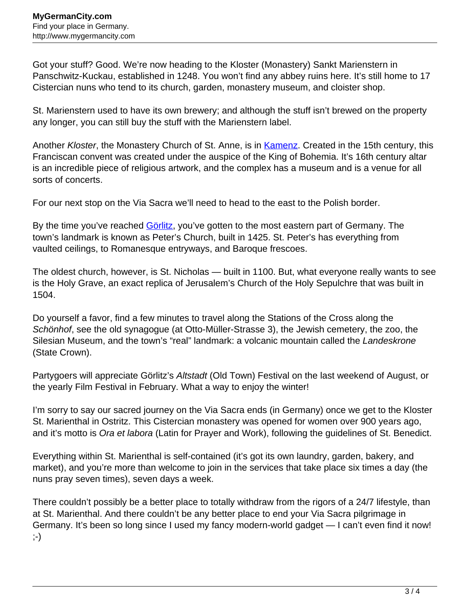Got your stuff? Good. We're now heading to the Kloster (Monastery) Sankt Marienstern in Panschwitz-Kuckau, established in 1248. You won't find any abbey ruins here. It's still home to 17 Cistercian nuns who tend to its church, garden, monastery museum, and cloister shop.

St. Marienstern used to have its own brewery; and although the stuff isn't brewed on the property any longer, you can still buy the stuff with the Marienstern label.

Another Kloster, the Monastery Church of St. Anne, is in [Kamenz](http://www.mygermancity.com/kamenz). Created in the 15th century, this Franciscan convent was created under the auspice of the King of Bohemia. It's 16th century altar is an incredible piece of religious artwork, and the complex has a museum and is a venue for all sorts of concerts.

For our next stop on the Via Sacra we'll need to head to the east to the Polish border.

By the time you've reached [Görlitz](http://www.mygermancity.com/goerlitz), you've gotten to the most eastern part of Germany. The town's landmark is known as Peter's Church, built in 1425. St. Peter's has everything from vaulted ceilings, to Romanesque entryways, and Baroque frescoes.

The oldest church, however, is St. Nicholas — built in 1100. But, what everyone really wants to see is the Holy Grave, an exact replica of Jerusalem's Church of the Holy Sepulchre that was built in 1504.

Do yourself a favor, find a few minutes to travel along the Stations of the Cross along the Schönhof, see the old synagogue (at Otto-Müller-Strasse 3), the Jewish cemetery, the zoo, the Silesian Museum, and the town's "real" landmark: a volcanic mountain called the Landeskrone (State Crown).

Partygoers will appreciate Görlitz's Altstadt (Old Town) Festival on the last weekend of August, or the yearly Film Festival in February. What a way to enjoy the winter!

I'm sorry to say our sacred journey on the Via Sacra ends (in Germany) once we get to the Kloster St. Marienthal in Ostritz. This Cistercian monastery was opened for women over 900 years ago, and it's motto is Ora et labora (Latin for Prayer and Work), following the guidelines of St. Benedict.

Everything within St. Marienthal is self-contained (it's got its own laundry, garden, bakery, and market), and you're more than welcome to join in the services that take place six times a day (the nuns pray seven times), seven days a week.

There couldn't possibly be a better place to totally withdraw from the rigors of a 24/7 lifestyle, than at St. Marienthal. And there couldn't be any better place to end your Via Sacra pilgrimage in Germany. It's been so long since I used my fancy modern-world gadget — I can't even find it now! ;-)